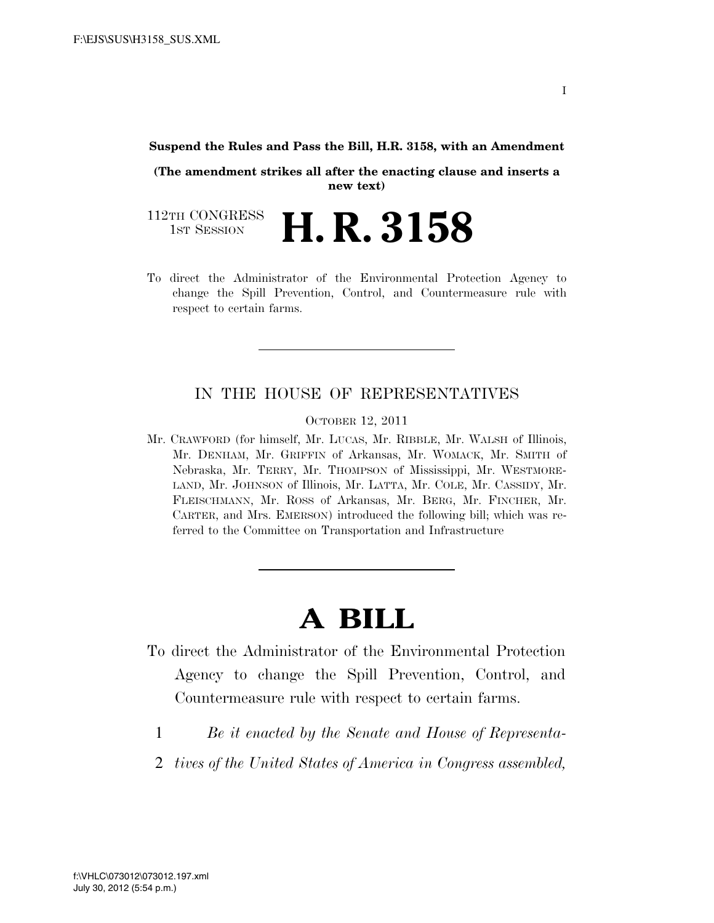#### **Suspend the Rules and Pass the Bill, H.R. 3158, with an Amendment**

**(The amendment strikes all after the enacting clause and inserts a new text)** 

112TH CONGRESS<br>1st Session H. R. 3158

To direct the Administrator of the Environmental Protection Agency to change the Spill Prevention, Control, and Countermeasure rule with respect to certain farms.

### IN THE HOUSE OF REPRESENTATIVES

OCTOBER 12, 2011

Mr. CRAWFORD (for himself, Mr. LUCAS, Mr. RIBBLE, Mr. WALSH of Illinois, Mr. DENHAM, Mr. GRIFFIN of Arkansas, Mr. WOMACK, Mr. SMITH of Nebraska, Mr. TERRY, Mr. THOMPSON of Mississippi, Mr. WESTMORE-LAND, Mr. JOHNSON of Illinois, Mr. LATTA, Mr. COLE, Mr. CASSIDY, Mr. FLEISCHMANN, Mr. ROSS of Arkansas, Mr. BERG, Mr. FINCHER, Mr. CARTER, and Mrs. EMERSON) introduced the following bill; which was referred to the Committee on Transportation and Infrastructure

# **A BILL**

- To direct the Administrator of the Environmental Protection Agency to change the Spill Prevention, Control, and Countermeasure rule with respect to certain farms.
	- 1 *Be it enacted by the Senate and House of Representa-*
	- 2 *tives of the United States of America in Congress assembled,*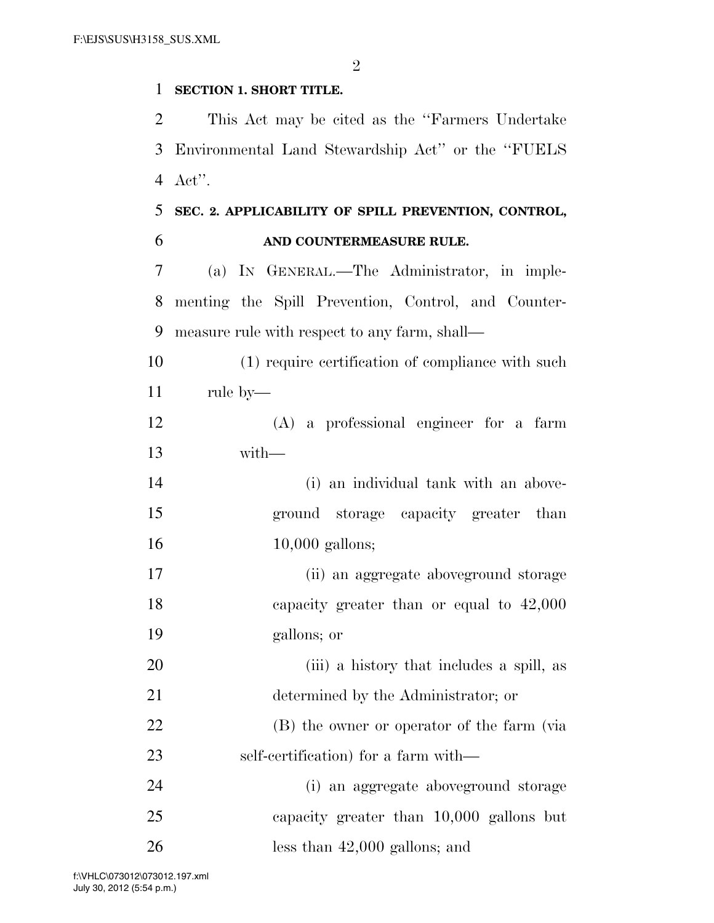$\mathfrak{D}$ 

### **SECTION 1. SHORT TITLE.**

 This Act may be cited as the ''Farmers Undertake Environmental Land Stewardship Act'' or the ''FUELS Act''.

## **SEC. 2. APPLICABILITY OF SPILL PREVENTION, CONTROL, AND COUNTERMEASURE RULE.**

 (a) IN GENERAL.—The Administrator, in imple- menting the Spill Prevention, Control, and Counter-measure rule with respect to any farm, shall—

 (1) require certification of compliance with such rule by—

 (A) a professional engineer for a farm with—

 (i) an individual tank with an above- ground storage capacity greater than 16 10,000 gallons;

 (ii) an aggregate aboveground storage capacity greater than or equal to 42,000 gallons; or

 (iii) a history that includes a spill, as determined by the Administrator; or (B) the owner or operator of the farm (via

self-certification) for a farm with—

 (i) an aggregate aboveground storage capacity greater than 10,000 gallons but less than 42,000 gallons; and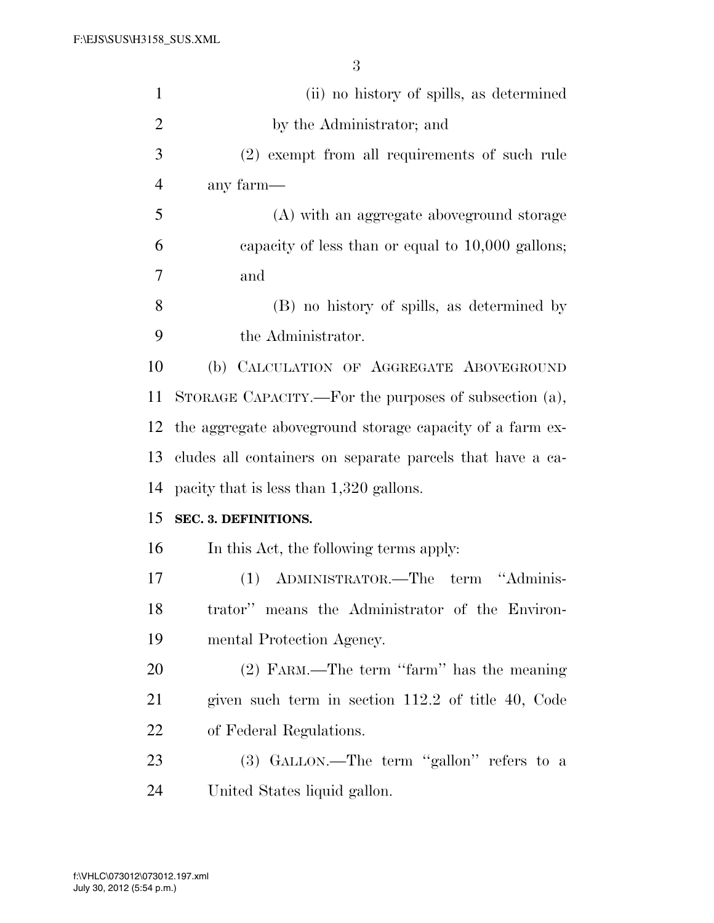| $\mathbf{1}$   | (ii) no history of spills, as determined                  |
|----------------|-----------------------------------------------------------|
| $\overline{2}$ | by the Administrator; and                                 |
| 3              | (2) exempt from all requirements of such rule             |
| $\overline{4}$ | any farm-                                                 |
| 5              | (A) with an aggregate above ground storage                |
| 6              | capacity of less than or equal to $10,000$ gallons;       |
| 7              | and                                                       |
| 8              | (B) no history of spills, as determined by                |
| 9              | the Administrator.                                        |
| 10             | (b) CALCULATION OF AGGREGATE ABOVEGROUND                  |
| 11             | STORAGE CAPACITY.—For the purposes of subsection (a),     |
| 12             | the aggregate above ground storage capacity of a farm ex- |
| 13             | cludes all containers on separate parcels that have a ca- |
| 14             | pacity that is less than 1,320 gallons.                   |
| 15             | SEC. 3. DEFINITIONS.                                      |
| 16             | In this Act, the following terms apply:                   |
| 17             | ADMINISTRATOR.—The term "Adminis-<br>(1)                  |
| 18             | trator" means the Administrator of the Environ-           |
| 19             | mental Protection Agency.                                 |
| 20             | (2) FARM.—The term "farm" has the meaning                 |
| 21             | given such term in section 112.2 of title 40, Code        |
| 22             | of Federal Regulations.                                   |
| 23             | (3) GALLON.—The term "gallon" refers to a                 |
| 24             | United States liquid gallon.                              |